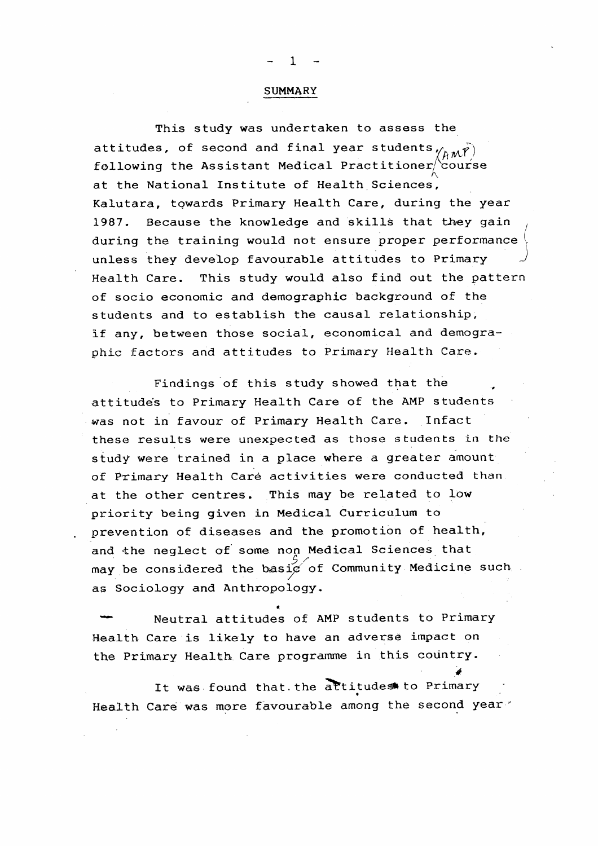## SUMMARY

This study was undertaken to assess the attitudes, of second and final year students  $\gamma_{A\mathcal{M}}(\vec{r})$ following the Assistant Medical Practitioner/course at the National Institute of Health Sciences, Kalutara, towards Primary Health Care, during the year 1987. Because the knowledge and skills that they gain ^

during the training would not ensure proper performance unless they develop favourable attitudes to Primary Health Care. This study would also find out the pattern of socio economic and demographic background of the students and to establish the causal relationship, If any, between those social, economical and demographic factors and attitudes to Primary Health Care.

Findings of this study showed that the attitudes to Primary Health Care of the AMP students -was not in favour of Primary Health Care. Infact these results were unexpected as those students in the study were trained in a place where a greater amount of Primary Health Care activities were conducted than at the other centres. This may be related to low priority being given in Medical Curriculum to prevention of diseases and the promotion of health, and the neglect of some non Medical Sciences that may be considered the basi $\mathrm{p}'$  of Community Medicine such as Sociology and Anthropology.

Neutral attitudes of AMP students to Primary Health Care is likely to have an adverse impact on the Primary Health Care programme in this country.

It was found that.the attitudes to Primary Health Care was more favourable among the second year"

*4*